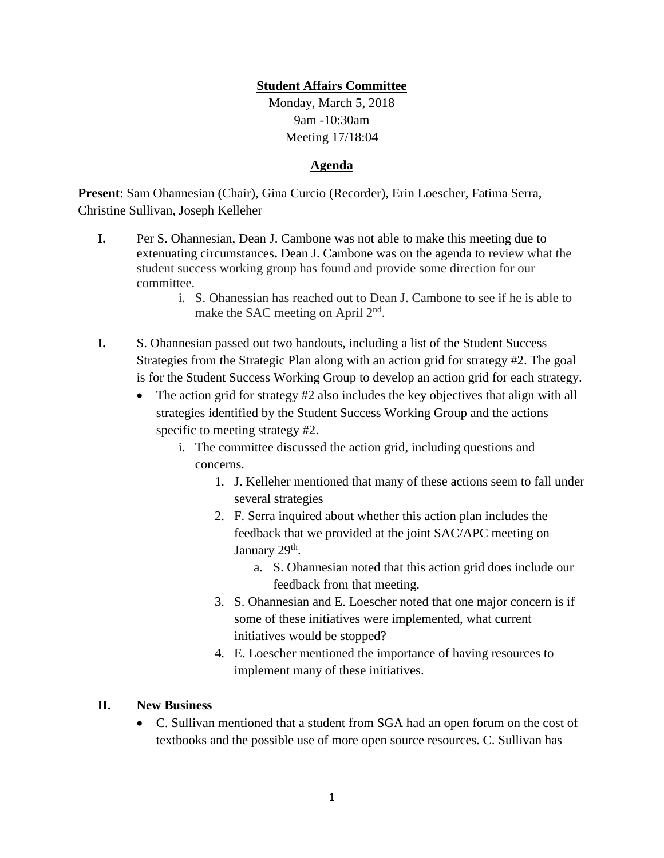## **Student Affairs Committee**

Monday, March 5, 2018 9am -10:30am Meeting 17/18:04

## **Agenda**

**Present**: Sam Ohannesian (Chair), Gina Curcio (Recorder), Erin Loescher, Fatima Serra, Christine Sullivan, Joseph Kelleher

- **I.** Per S. Ohannesian, Dean J. Cambone was not able to make this meeting due to extenuating circumstances**.** Dean J. Cambone was on the agenda to review what the student success working group has found and provide some direction for our committee.
	- i. S. Ohanessian has reached out to Dean J. Cambone to see if he is able to make the SAC meeting on April 2<sup>nd</sup>.
- **I.** S. Ohannesian passed out two handouts, including a list of the Student Success Strategies from the Strategic Plan along with an action grid for strategy #2. The goal is for the Student Success Working Group to develop an action grid for each strategy.
	- The action grid for strategy  $#2$  also includes the key objectives that align with all strategies identified by the Student Success Working Group and the actions specific to meeting strategy #2.
		- i. The committee discussed the action grid, including questions and concerns.
			- 1. J. Kelleher mentioned that many of these actions seem to fall under several strategies
			- 2. F. Serra inquired about whether this action plan includes the feedback that we provided at the joint SAC/APC meeting on January 29<sup>th</sup>.
				- a. S. Ohannesian noted that this action grid does include our feedback from that meeting.
			- 3. S. Ohannesian and E. Loescher noted that one major concern is if some of these initiatives were implemented, what current initiatives would be stopped?
			- 4. E. Loescher mentioned the importance of having resources to implement many of these initiatives.

## **II. New Business**

 C. Sullivan mentioned that a student from SGA had an open forum on the cost of textbooks and the possible use of more open source resources. C. Sullivan has